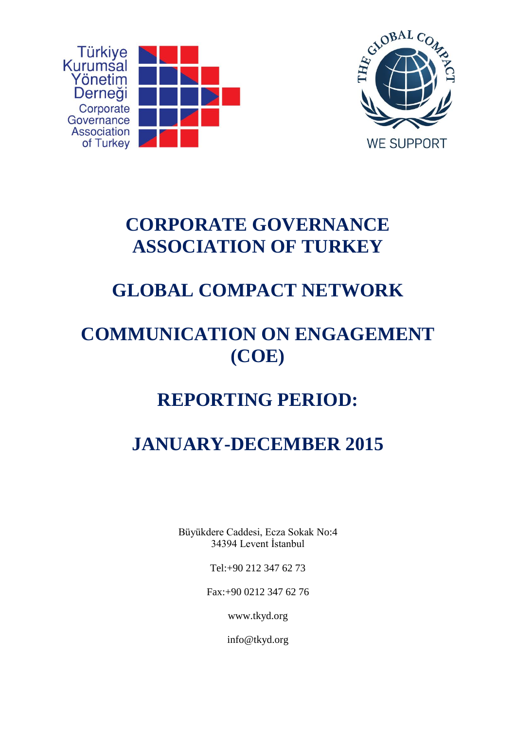



# **CORPORATE GOVERNANCE ASSOCIATION OF TURKEY**

# **GLOBAL COMPACT NETWORK**

## **COMMUNICATION ON ENGAGEMENT (COE)**

## **REPORTING PERIOD:**

# **JANUARY-DECEMBER 2015**

Büyükdere Caddesi, Ecza Sokak No:4 34394 Levent İstanbul

Tel:+90 212 347 62 73

Fax:+90 0212 347 62 76

www.tkyd.org

info@tkyd.org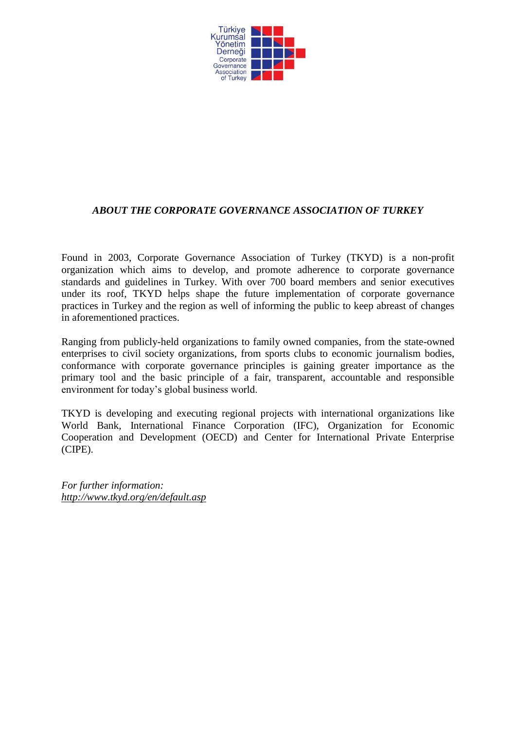

#### *ABOUT THE CORPORATE GOVERNANCE ASSOCIATION OF TURKEY*

Found in 2003, Corporate Governance Association of Turkey (TKYD) is a non-profit organization which aims to develop, and promote adherence to corporate governance standards and guidelines in Turkey. With over 700 board members and senior executives under its roof, TKYD helps shape the future implementation of corporate governance practices in Turkey and the region as well of informing the public to keep abreast of changes in aforementioned practices.

Ranging from publicly-held organizations to family owned companies, from the state-owned enterprises to civil society organizations, from sports clubs to economic journalism bodies, conformance with corporate governance principles is gaining greater importance as the primary tool and the basic principle of a fair, transparent, accountable and responsible environment for today's global business world.

TKYD is developing and executing regional projects with international organizations like World Bank, International Finance Corporation (IFC), Organization for Economic Cooperation and Development (OECD) and Center for International Private Enterprise (CIPE).

*For further information: <http://www.tkyd.org/en/default.asp>*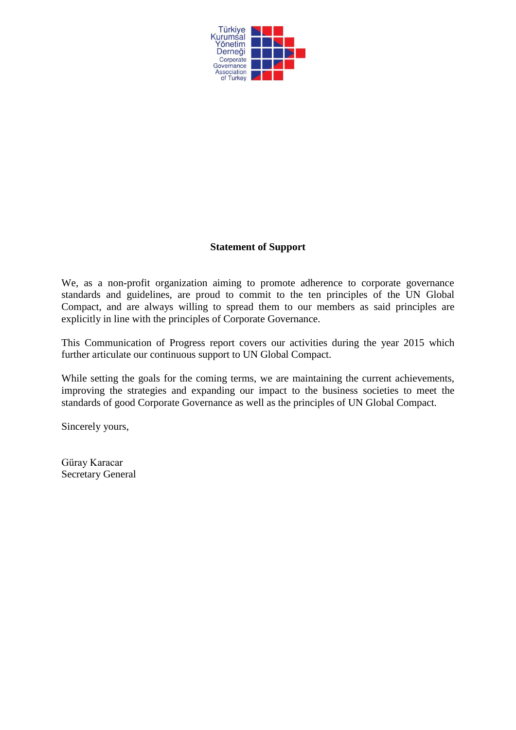

#### **Statement of Support**

We, as a non-profit organization aiming to promote adherence to corporate governance standards and guidelines, are proud to commit to the ten principles of the UN Global Compact, and are always willing to spread them to our members as said principles are explicitly in line with the principles of Corporate Governance.

This Communication of Progress report covers our activities during the year 2015 which further articulate our continuous support to UN Global Compact.

While setting the goals for the coming terms, we are maintaining the current achievements, improving the strategies and expanding our impact to the business societies to meet the standards of good Corporate Governance as well as the principles of UN Global Compact.

Sincerely yours,

Güray Karacar Secretary General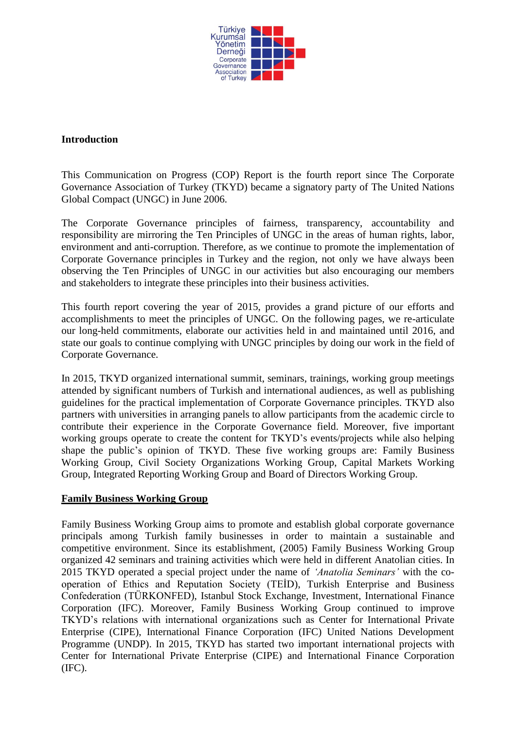

#### **Introduction**

This Communication on Progress (COP) Report is the fourth report since The Corporate Governance Association of Turkey (TKYD) became a signatory party of The United Nations Global Compact (UNGC) in June 2006.

The Corporate Governance principles of fairness, transparency, accountability and responsibility are mirroring the Ten Principles of UNGC in the areas of human rights, labor, environment and anti-corruption. Therefore, as we continue to promote the implementation of Corporate Governance principles in Turkey and the region, not only we have always been observing the Ten Principles of UNGC in our activities but also encouraging our members and stakeholders to integrate these principles into their business activities.

This fourth report covering the year of 2015, provides a grand picture of our efforts and accomplishments to meet the principles of UNGC. On the following pages, we re-articulate our long-held commitments, elaborate our activities held in and maintained until 2016, and state our goals to continue complying with UNGC principles by doing our work in the field of Corporate Governance.

In 2015, TKYD organized international summit, seminars, trainings, working group meetings attended by significant numbers of Turkish and international audiences, as well as publishing guidelines for the practical implementation of Corporate Governance principles. TKYD also partners with universities in arranging panels to allow participants from the academic circle to contribute their experience in the Corporate Governance field. Moreover, five important working groups operate to create the content for TKYD's events/projects while also helping shape the public's opinion of TKYD. These five working groups are: Family Business Working Group, Civil Society Organizations Working Group, Capital Markets Working Group, Integrated Reporting Working Group and Board of Directors Working Group.

#### **Family Business Working Group**

Family Business Working Group aims to promote and establish global corporate governance principals among Turkish family businesses in order to maintain a sustainable and competitive environment. Since its establishment, (2005) Family Business Working Group organized 42 seminars and training activities which were held in different Anatolian cities. In 2015 TKYD operated a special project under the name of *'Anatolia Seminars'* with the cooperation of Ethics and Reputation Society (TEİD), Turkish Enterprise and Business Confederation (TÜRKONFED), Istanbul Stock Exchange, Investment, International Finance Corporation (IFC). Moreover, Family Business Working Group continued to improve TKYD's relations with international organizations such as Center for International Private Enterprise (CIPE), International Finance Corporation (IFC) United Nations Development Programme (UNDP). In 2015, TKYD has started two important international projects with Center for International Private Enterprise (CIPE) and International Finance Corporation (IFC).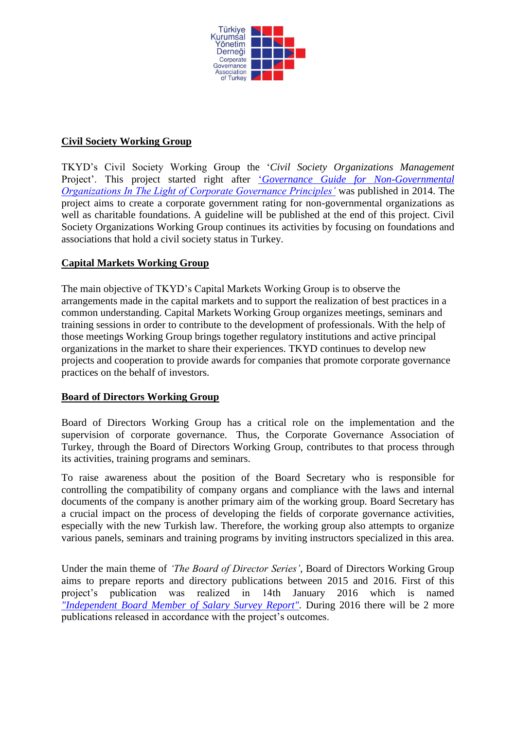

#### **Civil Society Working Group**

TKYD's Civil Society Working Group the '*Civil Society Organizations Management*  Project'. This project started right after '*[Governance Guide for Non-Governmental](http://tkyd.org/files/downloads/faaliyet_alanlari/yayinlarimiz/en/STK_Rehber_English.pdf)  [Organizations In The Light of Corporate Governance Principles'](http://tkyd.org/files/downloads/faaliyet_alanlari/yayinlarimiz/en/STK_Rehber_English.pdf)* was published in 2014. The project aims to create a corporate government rating for non-governmental organizations as well as charitable foundations. A guideline will be published at the end of this project. Civil Society Organizations Working Group continues its activities by focusing on foundations and associations that hold a civil society status in Turkey.

#### **Capital Markets Working Group**

The main objective of TKYD's Capital Markets Working Group is to observe the arrangements made in the capital markets and to support the realization of best practices in a common understanding. Capital Markets Working Group organizes meetings, seminars and training sessions in order to contribute to the development of professionals. With the help of those meetings Working Group brings together regulatory institutions and active principal organizations in the market to share their experiences. TKYD continues to develop new projects and cooperation to provide awards for companies that promote corporate governance practices on the behalf of investors.

#### **Board of Directors Working Group**

Board of Directors Working Group has a critical role on the implementation and the supervision of corporate governance. Thus, the Corporate Governance Association of Turkey, through the Board of Directors Working Group, contributes to that process through its activities, training programs and seminars.

To raise awareness about the position of the Board Secretary who is responsible for controlling the compatibility of company organs and compliance with the laws and internal documents of the company is another primary aim of the working group. Board Secretary has a crucial impact on the process of developing the fields of corporate governance activities, especially with the new Turkish law. Therefore, the working group also attempts to organize various panels, seminars and training programs by inviting instructors specialized in this area.

Under the main theme of *'The Board of Director Series'*, Board of Directors Working Group aims to prepare reports and directory publications between 2015 and 2016. First of this project's publication was realized in 14th January 2016 which is named *["Independent Board Member of Salary Survey Report".](http://tkyd.org/files/images/content/faaliyet_alanlari/yayinlarimiz/tkyd_yayinlari/BYKUUA-SON.pdf)* During 2016 there will be 2 more publications released in accordance with the project's outcomes.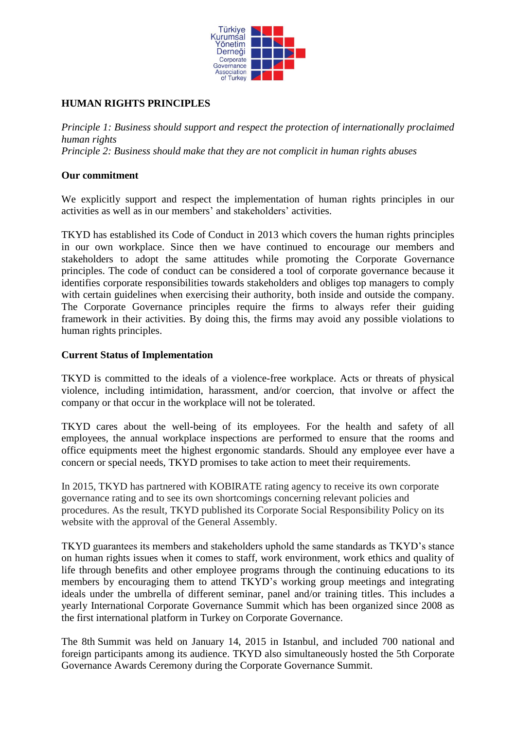

## **HUMAN RIGHTS PRINCIPLES**

*Principle 1: Business should support and respect the protection of internationally proclaimed human rights Principle 2: Business should make that they are not complicit in human rights abuses*

#### **Our commitment**

We explicitly support and respect the implementation of human rights principles in our activities as well as in our members' and stakeholders' activities.

TKYD has established its Code of Conduct in 2013 which covers the human rights principles in our own workplace. Since then we have continued to encourage our members and stakeholders to adopt the same attitudes while promoting the Corporate Governance principles. The code of conduct can be considered a tool of corporate governance because it identifies corporate responsibilities towards stakeholders and obliges top managers to comply with certain guidelines when exercising their authority, both inside and outside the company. The Corporate Governance principles require the firms to always refer their guiding framework in their activities. By doing this, the firms may avoid any possible violations to human rights principles.

#### **Current Status of Implementation**

TKYD is committed to the ideals of a violence-free workplace. Acts or threats of physical violence, including intimidation, harassment, and/or coercion, that involve or affect the company or that occur in the workplace will not be tolerated.

TKYD cares about the well-being of its employees. For the health and safety of all employees, the annual workplace inspections are performed to ensure that the rooms and office equipments meet the highest ergonomic standards. Should any employee ever have a concern or special needs, TKYD promises to take action to meet their requirements.

In 2015, TKYD has partnered with KOBIRATE rating agency to receive its own corporate governance rating and to see its own shortcomings concerning relevant policies and procedures. As the result, TKYD published its Corporate Social Responsibility Policy on its website with the approval of the General Assembly.

TKYD guarantees its members and stakeholders uphold the same standards as TKYD's stance on human rights issues when it comes to staff, work environment, work ethics and quality of life through benefits and other employee programs through the continuing educations to its members by encouraging them to attend TKYD's working group meetings and integrating ideals under the umbrella of different seminar, panel and/or training titles. This includes a yearly International Corporate Governance Summit which has been organized since 2008 as the first international platform in Turkey on Corporate Governance.

The 8th Summit was held on January 14, 2015 in Istanbul, and included 700 national and foreign participants among its audience. TKYD also simultaneously hosted the 5th Corporate Governance Awards Ceremony during the Corporate Governance Summit.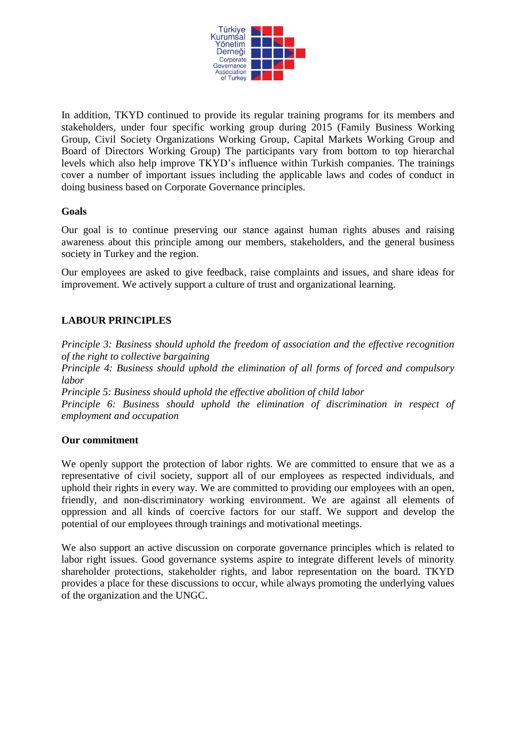

In addition, TKYD continued to provide its regular training programs for its members and stakeholders, under four specific working group during 2015 (Family Business Working Group, Civil Society Organizations Working Group, Capital Markets Working Group and Board of Directors Working Group) The participants vary from bottom to top hierarchal levels which also help improve TKYD's influence within Turkish companies. The trainings cover a number of important issues including the applicable laws and codes of conduct in doing business based on Corporate Governance principles.

#### **Goals**

Our goal is to continue preserving our stance against human rights abuses and raising awareness about this principle among our members, stakeholders, and the general business society in Turkey and the region.

Our employees are asked to give feedback, raise complaints and issues, and share ideas for improvement. We actively support a culture of trust and organizational learning.

### **LABOUR PRINCIPLES**

*Principle 3: Business should uphold the freedom of association and the effective recognition of the right to collective bargaining*

*Principle 4: Business should uphold the elimination of all forms of forced and compulsory labor*

*Principle 5: Business should uphold the effective abolition of child labor*

*Principle 6: Business should uphold the elimination of discrimination in respect of employment and occupation*

#### **Our commitment**

We openly support the protection of labor rights. We are committed to ensure that we as a representative of civil society, support all of our employees as respected individuals, and uphold their rights in every way. We are committed to providing our employees with an open, friendly, and non-discriminatory working environment. We are against all elements of oppression and all kinds of coercive factors for our staff. We support and develop the potential of our employees through trainings and motivational meetings.

We also support an active discussion on corporate governance principles which is related to labor right issues. Good governance systems aspire to integrate different levels of minority shareholder protections, stakeholder rights, and labor representation on the board. TKYD provides a place for these discussions to occur, while always promoting the underlying values of the organization and the UNGC.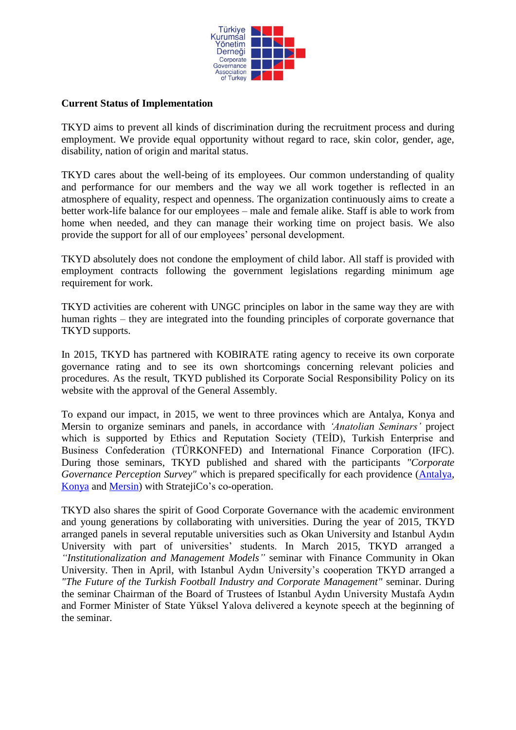

#### **Current Status of Implementation**

TKYD aims to prevent all kinds of discrimination during the recruitment process and during employment. We provide equal opportunity without regard to race, skin color, gender, age, disability, nation of origin and marital status.

TKYD cares about the well-being of its employees. Our common understanding of quality and performance for our members and the way we all work together is reflected in an atmosphere of equality, respect and openness. The organization continuously aims to create a better work-life balance for our employees – male and female alike. Staff is able to work from home when needed, and they can manage their working time on project basis. We also provide the support for all of our employees' personal development.

TKYD absolutely does not condone the employment of child labor. All staff is provided with employment contracts following the government legislations regarding minimum age requirement for work.

TKYD activities are coherent with UNGC principles on labor in the same way they are with human rights – they are integrated into the founding principles of corporate governance that TKYD supports.

In 2015, TKYD has partnered with KOBIRATE rating agency to receive its own corporate governance rating and to see its own shortcomings concerning relevant policies and procedures. As the result, TKYD published its Corporate Social Responsibility Policy on its website with the approval of the General Assembly.

To expand our impact, in 2015, we went to three provinces which are Antalya, Konya and Mersin to organize seminars and panels, in accordance with *'Anatolian Seminars'* project which is supported by Ethics and Reputation Society (TEİD), Turkish Enterprise and Business Confederation (TÜRKONFED) and International Finance Corporation (IFC). During those seminars, TKYD published and shared with the participants *"Corporate Governance Perception Survey"* which is prepared specifically for each providence [\(Antalya,](http://tkyd.org/files/downloads/faaliyet_alanlari/yayinlarimiz/tkyd_yayinlari/Antalya_KY_Algi_Arastirmasi_Raporu.pdf) [Konya](http://tkyd.org/files/downloads/faaliyet_alanlari/yayinlarimiz/tkyd_yayinlari/Konya_Kurumsal_Yonetim_Algi_Arastirmasi_Raporu.pdf) and [Mersin\)](http://tkyd.org/files/downloads/faaliyet_alanlari/yayinlarimiz/tkyd_yayinlari/TKYD_Mersin_Rapor.pdf) with StratejiCo's co-operation.

TKYD also shares the spirit of Good Corporate Governance with the academic environment and young generations by collaborating with universities. During the year of 2015, TKYD arranged panels in several reputable universities such as Okan University and Istanbul Aydın University with part of universities' students. In March 2015, TKYD arranged a *"Institutionalization and Management Models"* seminar with Finance Community in Okan University. Then in April, with Istanbul Aydın University's cooperation TKYD arranged a *"The Future of the Turkish Football Industry and Corporate Management"* seminar. During the seminar [Chairman of the Board of Trustees](http://tureng.com/tr/turkce-ingilizce/chairman%20of%20the%20board%20of%20trustees) of Istanbul Aydın University Mustafa Aydın and Former Minister of State Yüksel Yalova delivered a keynote speech at the beginning of the seminar.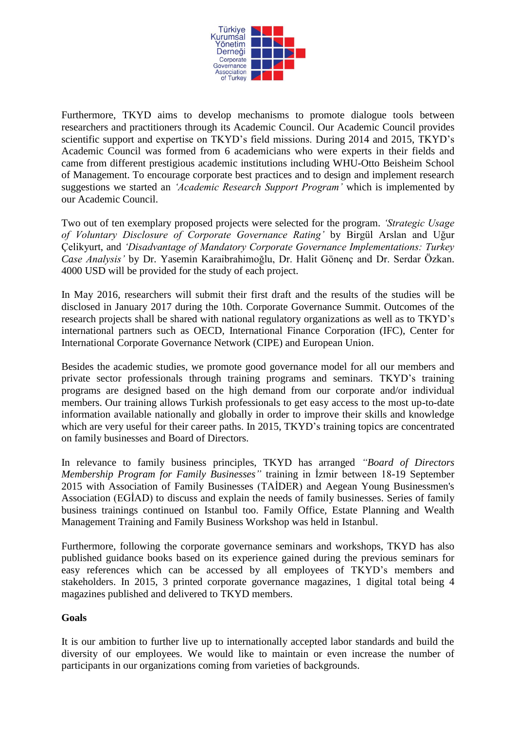

Furthermore, TKYD aims to develop mechanisms to promote dialogue tools between researchers and practitioners through its Academic Council. Our Academic Council provides scientific support and expertise on TKYD's field missions. During 2014 and 2015, TKYD's Academic Council was formed from 6 academicians who were experts in their fields and came from different prestigious academic institutions including WHU-Otto Beisheim School of Management. To encourage corporate best practices and to design and implement research suggestions we started an *'Academic Research Support Program'* which is implemented by our Academic Council.

Two out of ten exemplary proposed projects were selected for the program. *'Strategic Usage of Voluntary Disclosure of Corporate Governance Rating'* by Birgül Arslan and Uğur Çelikyurt, and *'Disadvantage of Mandatory Corporate Governance Implementations: Turkey Case Analysis'* by Dr. Yasemin Karaibrahimoğlu, Dr. Halit Gönenç and Dr. Serdar Özkan. 4000 USD will be provided for the study of each project.

In May 2016, researchers will submit their first draft and the results of the studies will be disclosed in January 2017 during the 10th. Corporate Governance Summit. Outcomes of the research projects shall be shared with national regulatory organizations as well as to TKYD's international partners such as OECD, International Finance Corporation (IFC), Center for International Corporate Governance Network (CIPE) and European Union.

Besides the academic studies, we promote good governance model for all our members and private sector professionals through training programs and seminars. TKYD's training programs are designed based on the high demand from our corporate and/or individual members. Our training allows Turkish professionals to get easy access to the most up-to-date information available nationally and globally in order to improve their skills and knowledge which are very useful for their career paths. In 2015, TKYD's training topics are concentrated on family businesses and Board of Directors.

In relevance to family business principles, TKYD has arranged *"Board of Directors Membership Program for Family Businesses"* training in İzmir between 18-19 September 2015 with Association of Family Businesses (TAİDER) and Aegean Young Businessmen's Association (EGİAD) to discuss and explain the needs of family businesses. Series of family business trainings continued on Istanbul too. Family Office, Estate Planning and Wealth Management Training and Family Business Workshop was held in Istanbul.

Furthermore, following the corporate governance seminars and workshops, TKYD has also published guidance books based on its experience gained during the previous seminars for easy references which can be accessed by all employees of TKYD's members and stakeholders. In 2015, 3 printed corporate governance magazines, 1 digital total being 4 magazines published and delivered to TKYD members.

#### **Goals**

It is our ambition to further live up to internationally accepted labor standards and build the diversity of our employees. We would like to maintain or even increase the number of participants in our organizations coming from varieties of backgrounds.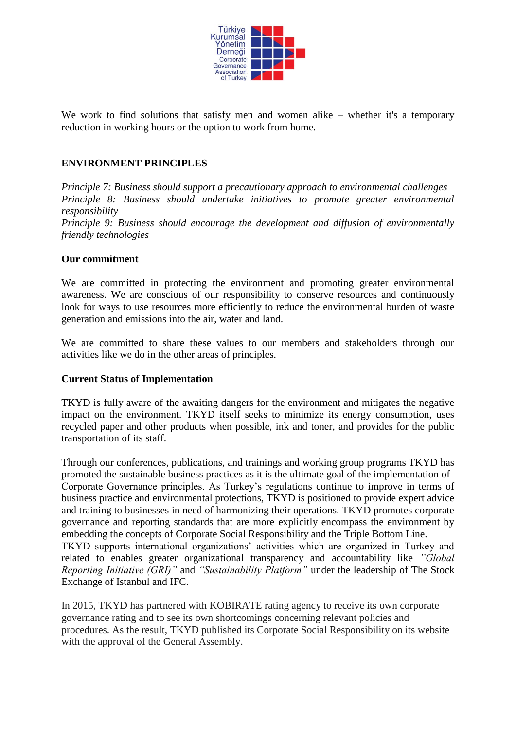

We work to find solutions that satisfy men and women alike – whether it's a temporary reduction in working hours or the option to work from home.

#### **ENVIRONMENT PRINCIPLES**

*Principle 7: Business should support a precautionary approach to environmental challenges Principle 8: Business should undertake initiatives to promote greater environmental responsibility Principle 9: Business should encourage the development and diffusion of environmentally friendly technologies* 

#### **Our commitment**

We are committed in protecting the environment and promoting greater environmental awareness. We are conscious of our responsibility to conserve resources and continuously look for ways to use resources more efficiently to reduce the environmental burden of waste generation and emissions into the air, water and land.

We are committed to share these values to our members and stakeholders through our activities like we do in the other areas of principles.

#### **Current Status of Implementation**

TKYD is fully aware of the awaiting dangers for the environment and mitigates the negative impact on the environment. TKYD itself seeks to minimize its energy consumption, uses recycled paper and other products when possible, ink and toner, and provides for the public transportation of its staff.

Through our conferences, publications, and trainings and working group programs TKYD has promoted the sustainable business practices as it is the ultimate goal of the implementation of Corporate Governance principles. As Turkey's regulations continue to improve in terms of business practice and environmental protections, TKYD is positioned to provide expert advice and training to businesses in need of harmonizing their operations. TKYD promotes corporate governance and reporting standards that are more explicitly encompass the environment by embedding the concepts of Corporate Social Responsibility and the Triple Bottom Line. TKYD supports international organizations' activities which are organized in Turkey and related to enables greater organizational transparency and accountability like *"Global Reporting Initiative (GRI)"* and *"Sustainability Platform"* under the leadership of The Stock Exchange of Istanbul and IFC.

In 2015, TKYD has partnered with KOBIRATE rating agency to receive its own corporate governance rating and to see its own shortcomings concerning relevant policies and procedures. As the result, TKYD published its Corporate Social Responsibility on its website with the approval of the General Assembly.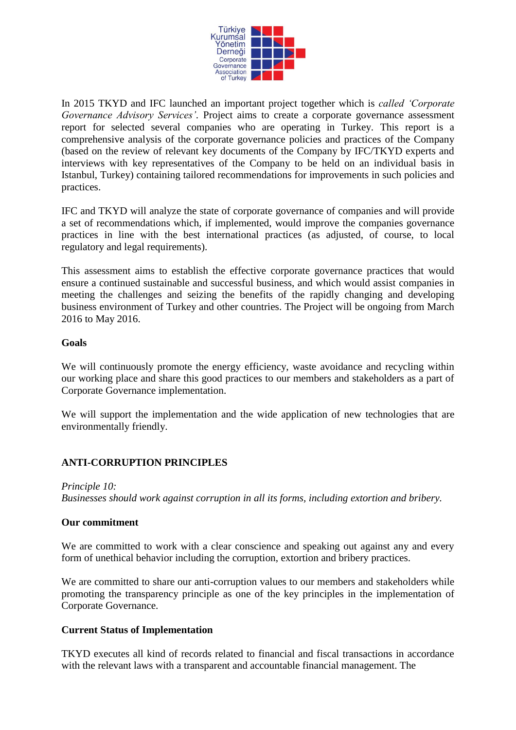

In 2015 TKYD and IFC launched an important project together which is *called 'Corporate Governance Advisory Services'.* Project aims to create a corporate governance assessment report for selected several companies who are operating in Turkey. This report is a comprehensive analysis of the corporate governance policies and practices of the Company (based on the review of relevant key documents of the Company by IFC/TKYD experts and interviews with key representatives of the Company to be held on an individual basis in Istanbul, Turkey) containing tailored recommendations for improvements in such policies and practices.

IFC and TKYD will analyze the state of corporate governance of companies and will provide a set of recommendations which, if implemented, would improve the companies governance practices in line with the best international practices (as adjusted, of course, to local regulatory and legal requirements).

This assessment aims to establish the effective corporate governance practices that would ensure a continued sustainable and successful business, and which would assist companies in meeting the challenges and seizing the benefits of the rapidly changing and developing business environment of Turkey and other countries. The Project will be ongoing from March 2016 to May 2016.

#### **Goals**

We will continuously promote the energy efficiency, waste avoidance and recycling within our working place and share this good practices to our members and stakeholders as a part of Corporate Governance implementation.

We will support the implementation and the wide application of new technologies that are environmentally friendly.

#### **ANTI-CORRUPTION PRINCIPLES**

*Principle 10: Businesses should work against corruption in all its forms, including extortion and bribery.*

#### **Our commitment**

We are committed to work with a clear conscience and speaking out against any and every form of unethical behavior including the corruption, extortion and bribery practices.

We are committed to share our anti-corruption values to our members and stakeholders while promoting the transparency principle as one of the key principles in the implementation of Corporate Governance.

#### **Current Status of Implementation**

TKYD executes all kind of records related to financial and fiscal transactions in accordance with the relevant laws with a transparent and accountable financial management. The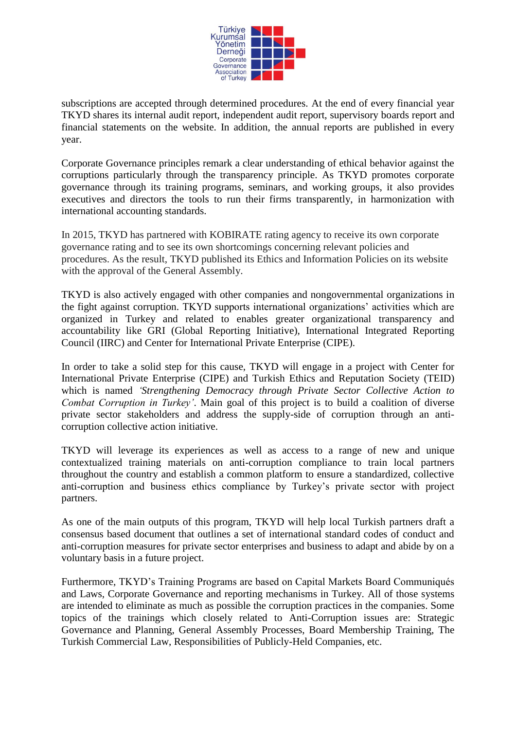

subscriptions are accepted through determined procedures. At the end of every financial year TKYD shares its internal audit report, independent audit report, supervisory boards report and financial statements on the website. In addition, the annual reports are published in every year.

Corporate Governance principles remark a clear understanding of ethical behavior against the corruptions particularly through the transparency principle. As TKYD promotes corporate governance through its training programs, seminars, and working groups, it also provides executives and directors the tools to run their firms transparently, in harmonization with international accounting standards.

In 2015, TKYD has partnered with KOBIRATE rating agency to receive its own corporate governance rating and to see its own shortcomings concerning relevant policies and procedures. As the result, TKYD published its Ethics and Information Policies on its website with the approval of the General Assembly.

TKYD is also actively engaged with other companies and nongovernmental organizations in the fight against corruption. TKYD supports international organizations' activities which are organized in Turkey and related to enables greater organizational transparency and accountability like GRI (Global Reporting Initiative), International Integrated Reporting Council (IIRC) and Center for International Private Enterprise (CIPE).

In order to take a solid step for this cause, TKYD will engage in a project with Center for International Private Enterprise (CIPE) and Turkish Ethics and Reputation Society (TEID) which is named *'Strengthening Democracy through Private Sector Collective Action to Combat Corruption in Turkey'*. Main goal of this project is to build a coalition of diverse private sector stakeholders and address the supply-side of corruption through an anticorruption collective action initiative.

TKYD will leverage its experiences as well as access to a range of new and unique contextualized training materials on anti-corruption compliance to train local partners throughout the country and establish a common platform to ensure a standardized, collective anti-corruption and business ethics compliance by Turkey's private sector with project partners.

As one of the main outputs of this program, TKYD will help local Turkish partners draft a consensus based document that outlines a set of international standard codes of conduct and anti-corruption measures for private sector enterprises and business to adapt and abide by on a voluntary basis in a future project.

Furthermore, TKYD's Training Programs are based on Capital Markets Board Communiqués and Laws, Corporate Governance and reporting mechanisms in Turkey. All of those systems are intended to eliminate as much as possible the corruption practices in the companies. Some topics of the trainings which closely related to Anti-Corruption issues are: Strategic Governance and Planning, General Assembly Processes, Board Membership Training, The Turkish Commercial Law, Responsibilities of Publicly-Held Companies, etc.